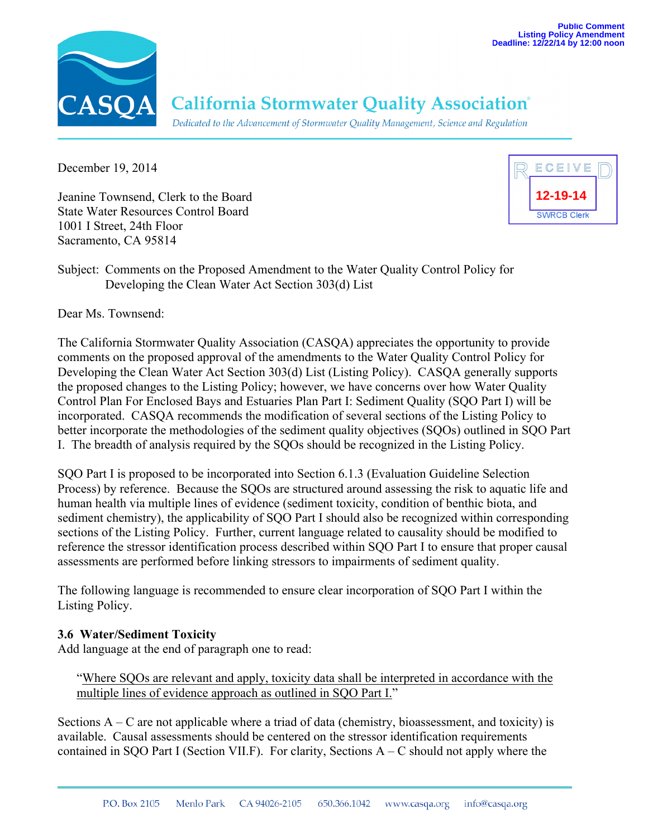

# **California Stormwater Quality Association**®

Dedicated to the Advancement of Stormwater Quality Management, Science and Regulation

December 19, 2014

Jeanine Townsend, Clerk to the Board State Water Resources Control Board 1001 I Street, 24th Floor Sacramento, CA 95814



Subject: Comments on the Proposed Amendment to the Water Quality Control Policy for Developing the Clean Water Act Section 303(d) List

Dear Ms. Townsend:

The California Stormwater Quality Association (CASQA) appreciates the opportunity to provide comments on the proposed approval of the amendments to the Water Quality Control Policy for Developing the Clean Water Act Section 303(d) List (Listing Policy). CASQA generally supports the proposed changes to the Listing Policy; however, we have concerns over how Water Quality Control Plan For Enclosed Bays and Estuaries Plan Part I: Sediment Quality (SQO Part I) will be incorporated. CASQA recommends the modification of several sections of the Listing Policy to better incorporate the methodologies of the sediment quality objectives (SQOs) outlined in SQO Part I. The breadth of analysis required by the SQOs should be recognized in the Listing Policy.

SQO Part I is proposed to be incorporated into Section 6.1.3 (Evaluation Guideline Selection Process) by reference. Because the SQOs are structured around assessing the risk to aquatic life and human health via multiple lines of evidence (sediment toxicity, condition of benthic biota, and sediment chemistry), the applicability of SQO Part I should also be recognized within corresponding sections of the Listing Policy. Further, current language related to causality should be modified to reference the stressor identification process described within SQO Part I to ensure that proper causal assessments are performed before linking stressors to impairments of sediment quality.

The following language is recommended to ensure clear incorporation of SQO Part I within the Listing Policy.

## **3.6 Water/Sediment Toxicity**

Add language at the end of paragraph one to read:

"Where SQOs are relevant and apply, toxicity data shall be interpreted in accordance with the multiple lines of evidence approach as outlined in SOO Part I."

Sections  $A - C$  are not applicable where a triad of data (chemistry, bioassessment, and toxicity) is available. Causal assessments should be centered on the stressor identification requirements contained in SQO Part I (Section VII.F). For clarity, Sections  $A - C$  should not apply where the